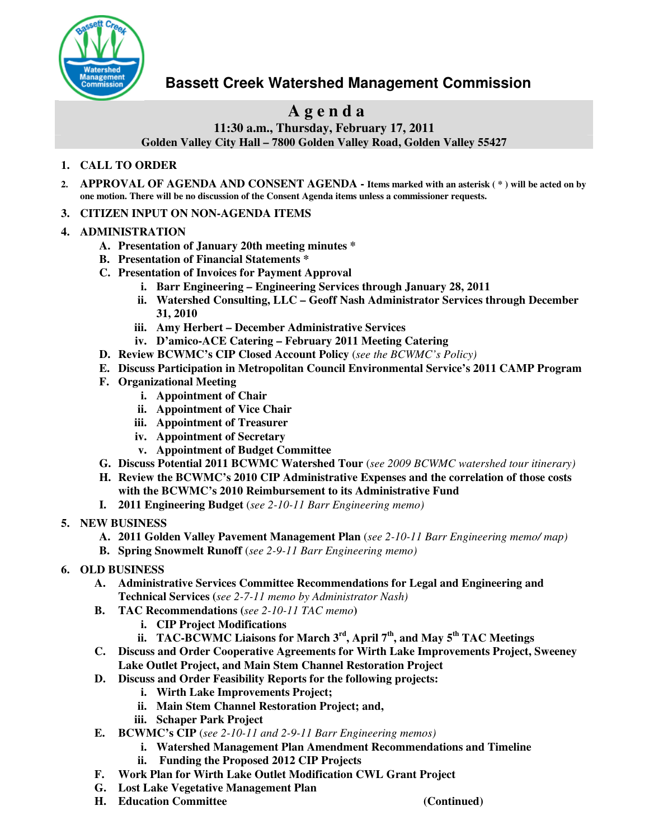

## **Bassett Creek Watershed Management Commission**

# **A g e n d a**

**11:30 a.m., Thursday, February 17, 2011 Golden Valley City Hall – 7800 Golden Valley Road, Golden Valley 55427**

#### **1. CALL TO ORDER**

- 2. APPROVAL OF AGENDA AND CONSENT AGENDA Items marked with an asterisk (\*) will be acted on by **one motion. There will be no discussion of the Consent Agenda items unless a commissioner requests.**
- **3. CITIZEN INPUT ON NON-AGENDA ITEMS**

#### **4. ADMINISTRATION**

- **A. Presentation of January 20th meeting minutes \***
- **B. Presentation of Financial Statements \***
- **C. Presentation of Invoices for Payment Approval**
	- **i. Barr Engineering – Engineering Services through January 28, 2011**
	- **ii. Watershed Consulting, LLC – Geoff Nash Administrator Services through December 31, 2010**
	- **iii. Amy Herbert – December Administrative Services**
	- **iv. D'amico-ACE Catering – February 2011 Meeting Catering**
- **D. Review BCWMC's CIP Closed Account Policy** (*see the BCWMC's Policy)*
- **E. Discuss Participation in Metropolitan Council Environmental Service's 2011 CAMP Program**
- **F. Organizational Meeting**
	- **i. Appointment of Chair**
	- **ii. Appointment of Vice Chair**
	- **iii. Appointment of Treasurer**
	- **iv. Appointment of Secretary**
	- **v. Appointment of Budget Committee**
- **G. Discuss Potential 2011 BCWMC Watershed Tour** (*see 2009 BCWMC watershed tour itinerary)*
- **H. Review the BCWMC's 2010 CIP Administrative Expenses and the correlation of those costs with the BCWMC's 2010 Reimbursement to its Administrative Fund**
- **I. 2011 Engineering Budget** (*see 2-10-11 Barr Engineering memo)*
- **5. NEW BUSINESS**
	- **A. 2011 Golden Valley Pavement Management Plan** (*see 2-10-11 Barr Engineering memo/ map)*
	- **B. Spring Snowmelt Runoff** (*see 2-9-11 Barr Engineering memo)*
- **6. OLD BUSINESS**
	- **A. Administrative Services Committee Recommendations for Legal and Engineering and Technical Services (***see 2-7-11 memo by Administrator Nash)*
	- **B. TAC Recommendations (***see 2-10-11 TAC memo***)**
		- **i. CIP Project Modifications**
		- **ii. TAC-BCWMC Liaisons for March 3 rd , April 7 th , and May 5 th TAC Meetings**
	- **C. Discuss and Order Cooperative Agreements for Wirth Lake Improvements Project, Sweeney Lake Outlet Project, and Main Stem Channel Restoration Project**
	- **D. Discuss and Order Feasibility Reports for the following projects:**
		- **i. Wirth Lake Improvements Project;**
		- **ii. Main Stem Channel Restoration Project; and,**
		- **iii. Schaper Park Project**
	- **E. BCWMC's CIP** (*see 2-10-11 and 2-9-11 Barr Engineering memos)*
		- **i. Watershed Management Plan Amendment Recommendations and Timeline**
			- **ii. Funding the Proposed 2012 CIP Projects**
	- **F. Work Plan for Wirth Lake Outlet Modification CWL Grant Project**
	- **G. Lost Lake Vegetative Management Plan**
	- **H. Education Committee (Continued)**